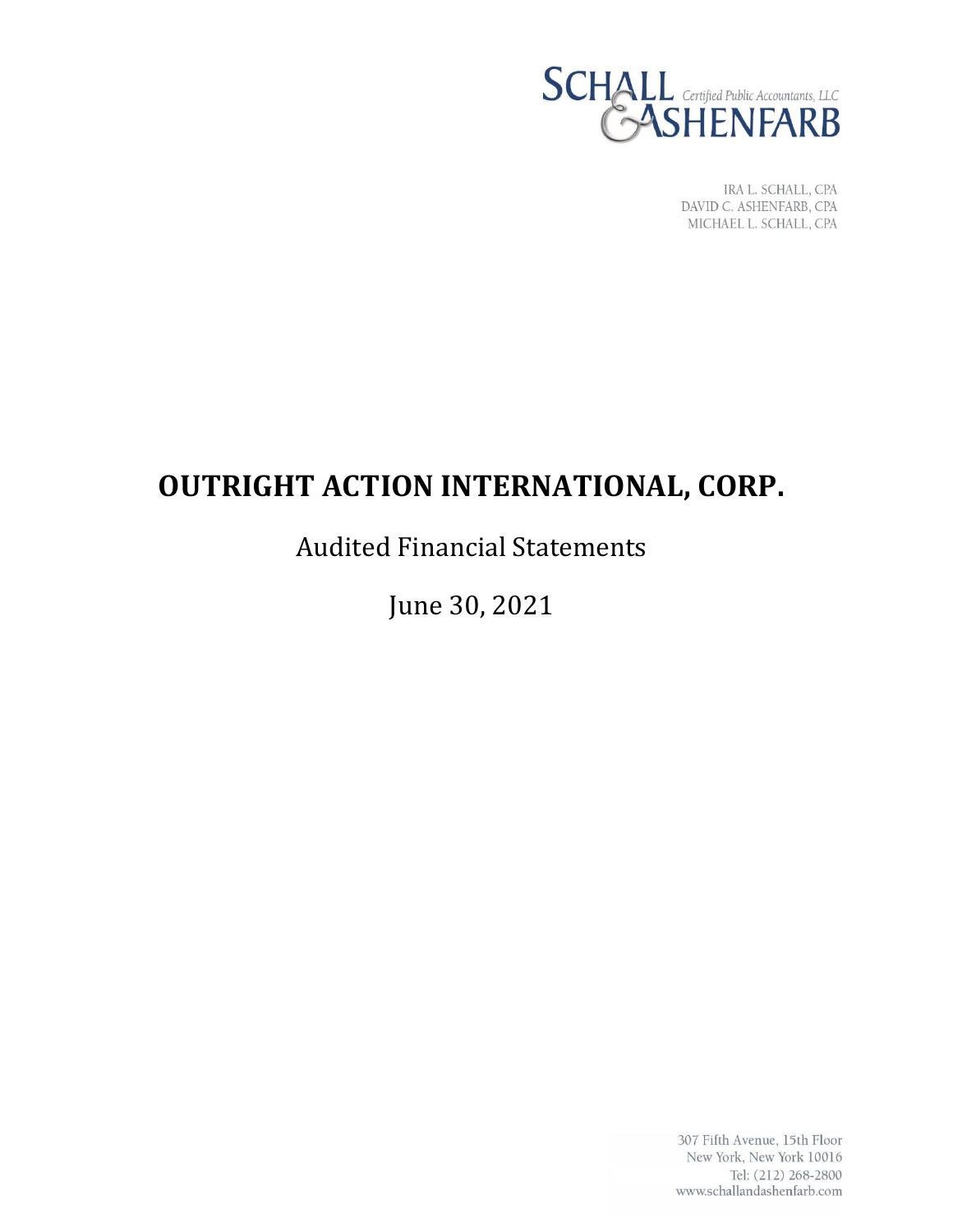

IRA L. SCHALL, CPA DAVID C. ASHENFARB, CPA MICHAEL L. SCHALL, CPA

# **OUTRIGHT ACTION INTERNATIONAL, CORP.**

# Audited Financial Statements

June 30, 2021

307 Fifth Avenue, 15th Floor New York, New York 10016 Tel: (212) 268-2800 www.schallandashenfarb.com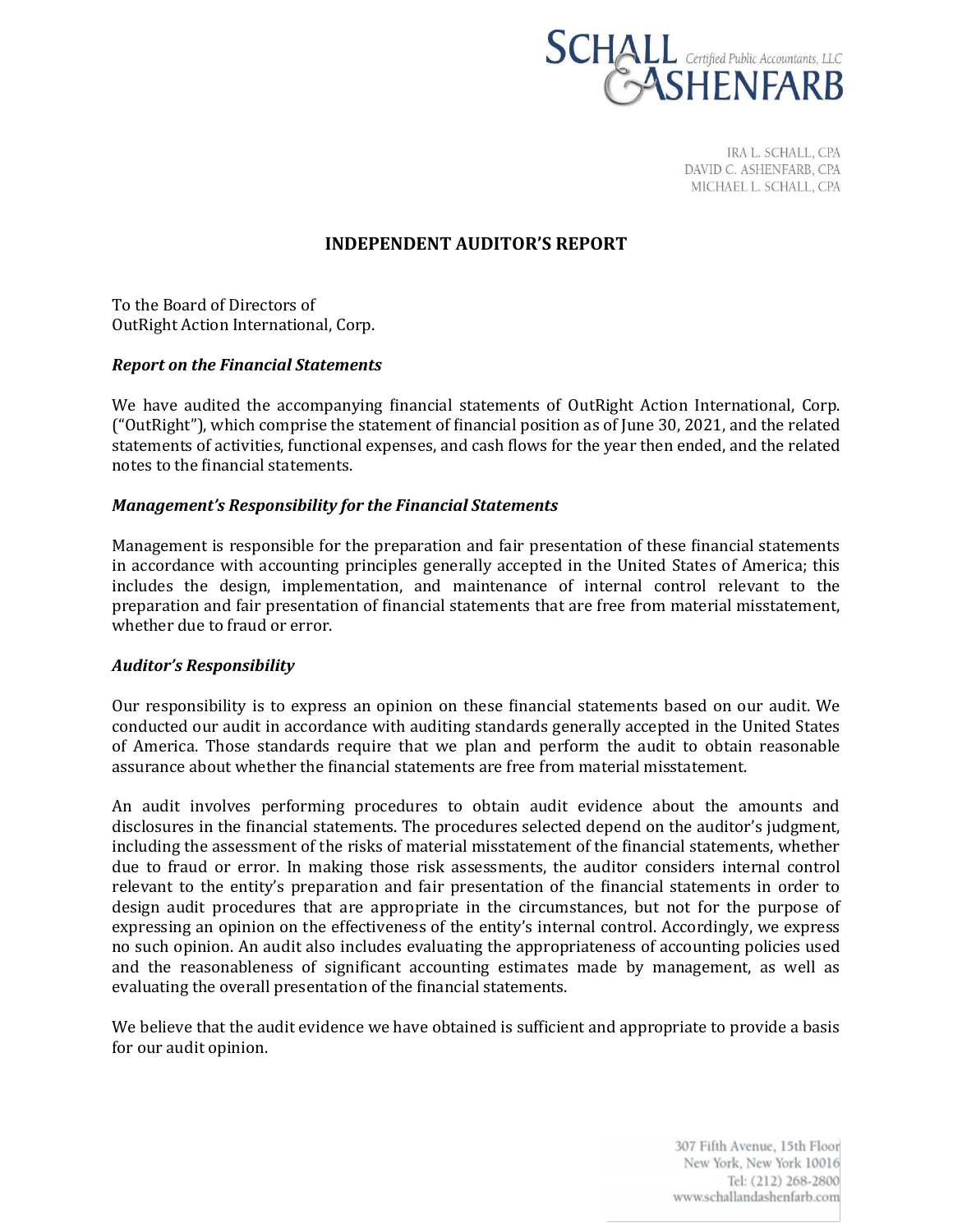

IRA L. SCHALL, CPA DAVID C. ASHENFARB, CPA MICHAEL L. SCHALL, CPA

# **INDEPENDENT AUDITOR'S REPORT**

To the Board of Directors of OutRight Action International, Corp.

# *Report on the Financial Statements*

We have audited the accompanying financial statements of OutRight Action International, Corp. ("OutRight"), which comprise the statement of financial position as of June 30, 2021, and the related statements of activities, functional expenses, and cash flows for the year then ended, and the related notes to the financial statements.

# *Management's Responsibility for the Financial Statements*

Management is responsible for the preparation and fair presentation of these financial statements in accordance with accounting principles generally accepted in the United States of America; this includes the design, implementation, and maintenance of internal control relevant to the preparation and fair presentation of financial statements that are free from material misstatement, whether due to fraud or error.

# *Auditor's Responsibility*

Our responsibility is to express an opinion on these financial statements based on our audit. We conducted our audit in accordance with auditing standards generally accepted in the United States of America. Those standards require that we plan and perform the audit to obtain reasonable assurance about whether the financial statements are free from material misstatement.

An audit involves performing procedures to obtain audit evidence about the amounts and disclosures in the financial statements. The procedures selected depend on the auditor's judgment, including the assessment of the risks of material misstatement of the financial statements, whether due to fraud or error. In making those risk assessments, the auditor considers internal control relevant to the entity's preparation and fair presentation of the financial statements in order to design audit procedures that are appropriate in the circumstances, but not for the purpose of expressing an opinion on the effectiveness of the entity's internal control. Accordingly, we express no such opinion. An audit also includes evaluating the appropriateness of accounting policies used and the reasonableness of significant accounting estimates made by management, as well as evaluating the overall presentation of the financial statements.

We believe that the audit evidence we have obtained is sufficient and appropriate to provide a basis for our audit opinion.

> 307 Fifth Avenue, 15th Floor New York, New York 10016 Tel: (212) 268-2800 www.schallandashenfarb.com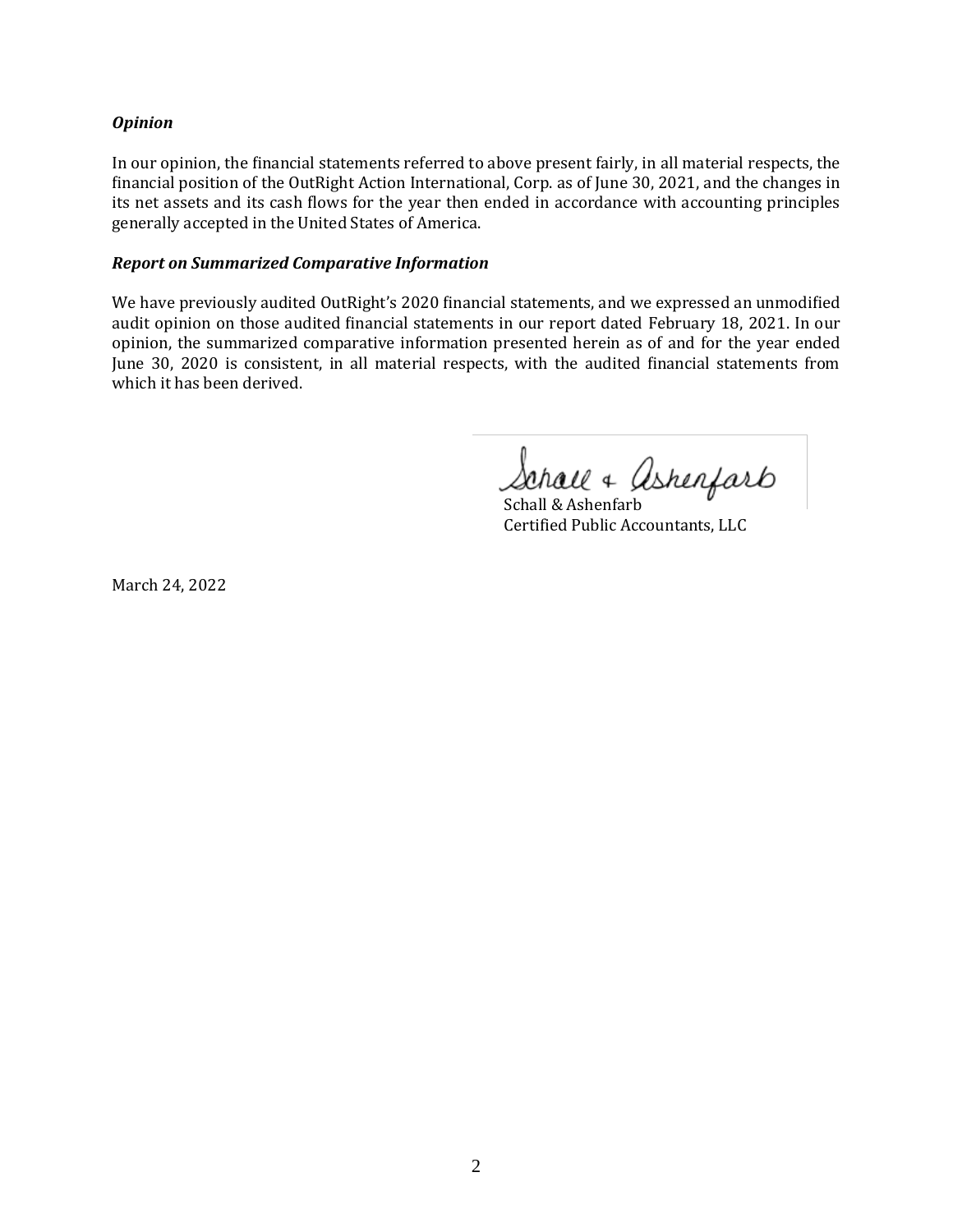# *Opinion*

In our opinion, the financial statements referred to above present fairly, in all material respects, the financial position of the OutRight Action International, Corp. as of June 30, 2021, and the changes in its net assets and its cash flows for the year then ended in accordance with accounting principles generally accepted in the United States of America.

#### *Report on Summarized Comparative Information*

We have previously audited OutRight's 2020 financial statements, and we expressed an unmodified audit opinion on those audited financial statements in our report dated February 18, 2021. In our opinion, the summarized comparative information presented herein as of and for the year ended June 30, 2020 is consistent, in all material respects, with the audited financial statements from which it has been derived.

Schall & Ashenfarb

Schall & Ashenfarb Certified Public Accountants, LLC

March 24, 2022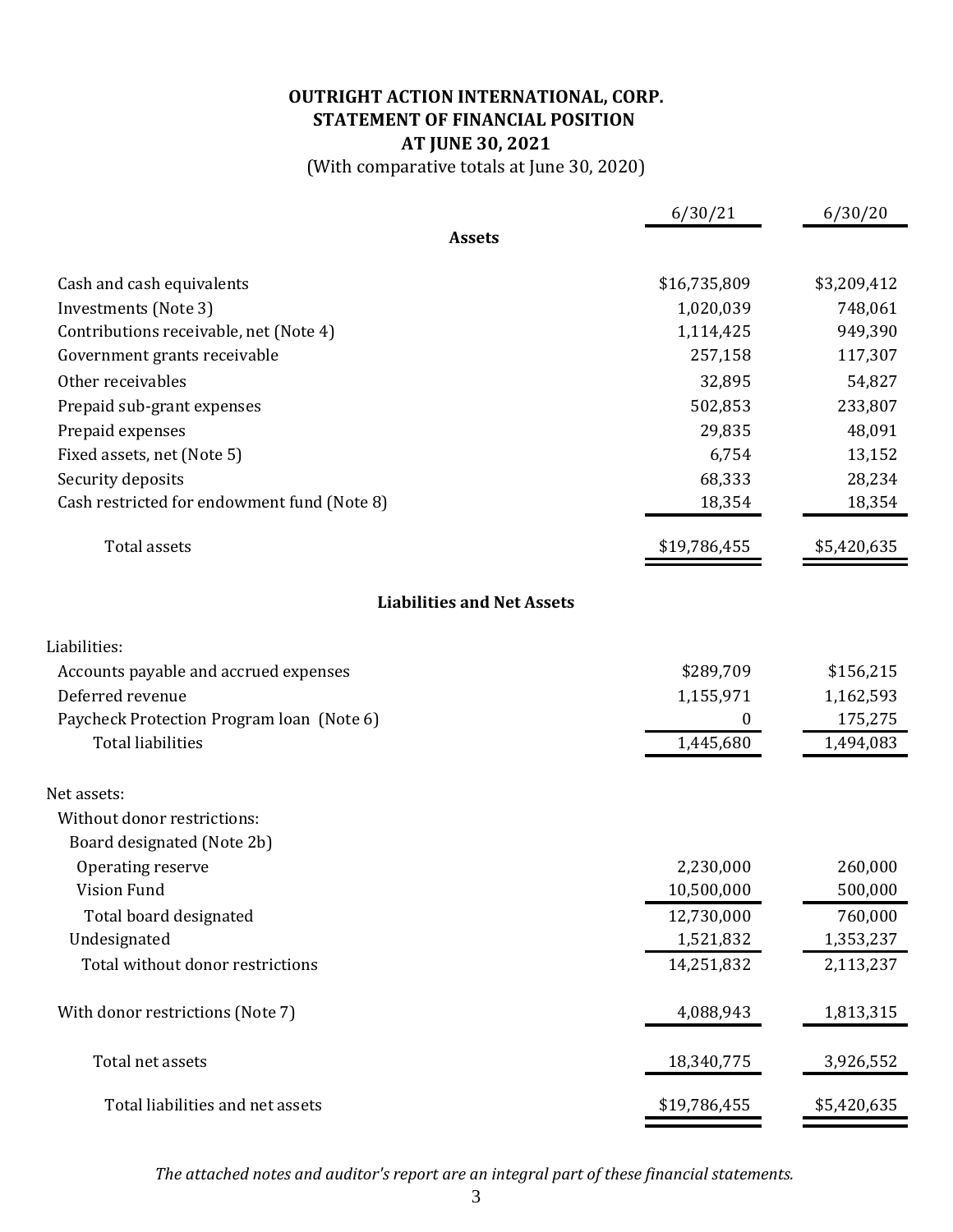# **OUTRIGHT ACTION INTERNATIONAL, CORP. AT JUNE 30, 2021 STATEMENT OF FINANCIAL POSITION**

(With comparative totals at June 30, 2020)

|                                             | 6/30/21          | 6/30/20     |
|---------------------------------------------|------------------|-------------|
| <b>Assets</b>                               |                  |             |
| Cash and cash equivalents                   | \$16,735,809     | \$3,209,412 |
| Investments (Note 3)                        | 1,020,039        | 748,061     |
| Contributions receivable, net (Note 4)      | 1,114,425        | 949,390     |
| Government grants receivable                | 257,158          | 117,307     |
| Other receivables                           | 32,895           | 54,827      |
| Prepaid sub-grant expenses                  | 502,853          | 233,807     |
| Prepaid expenses                            | 29,835           | 48,091      |
| Fixed assets, net (Note 5)                  | 6,754            | 13,152      |
| Security deposits                           | 68,333           | 28,234      |
| Cash restricted for endowment fund (Note 8) | 18,354           | 18,354      |
| <b>Total assets</b>                         | \$19,786,455     | \$5,420,635 |
| <b>Liabilities and Net Assets</b>           |                  |             |
| Liabilities:                                |                  |             |
| Accounts payable and accrued expenses       | \$289,709        | \$156,215   |
| Deferred revenue                            | 1,155,971        | 1,162,593   |
| Paycheck Protection Program loan (Note 6)   | $\boldsymbol{0}$ | 175,275     |
| <b>Total liabilities</b>                    | 1,445,680        | 1,494,083   |
| Net assets:                                 |                  |             |
| Without donor restrictions:                 |                  |             |
| Board designated (Note 2b)                  |                  |             |
| Operating reserve                           | 2,230,000        | 260,000     |
| <b>Vision Fund</b>                          | 10,500,000       | 500,000     |
| Total board designated                      | 12,730,000       | 760,000     |
| Undesignated                                | 1,521,832        | 1,353,237   |
| Total without donor restrictions            | 14,251,832       | 2,113,237   |
| With donor restrictions (Note 7)            | 4,088,943        | 1,813,315   |
| Total net assets                            | 18,340,775       | 3,926,552   |
| Total liabilities and net assets            | \$19,786,455     | \$5,420,635 |

*The attached notes and auditor's report are an integral part of these financial statements.*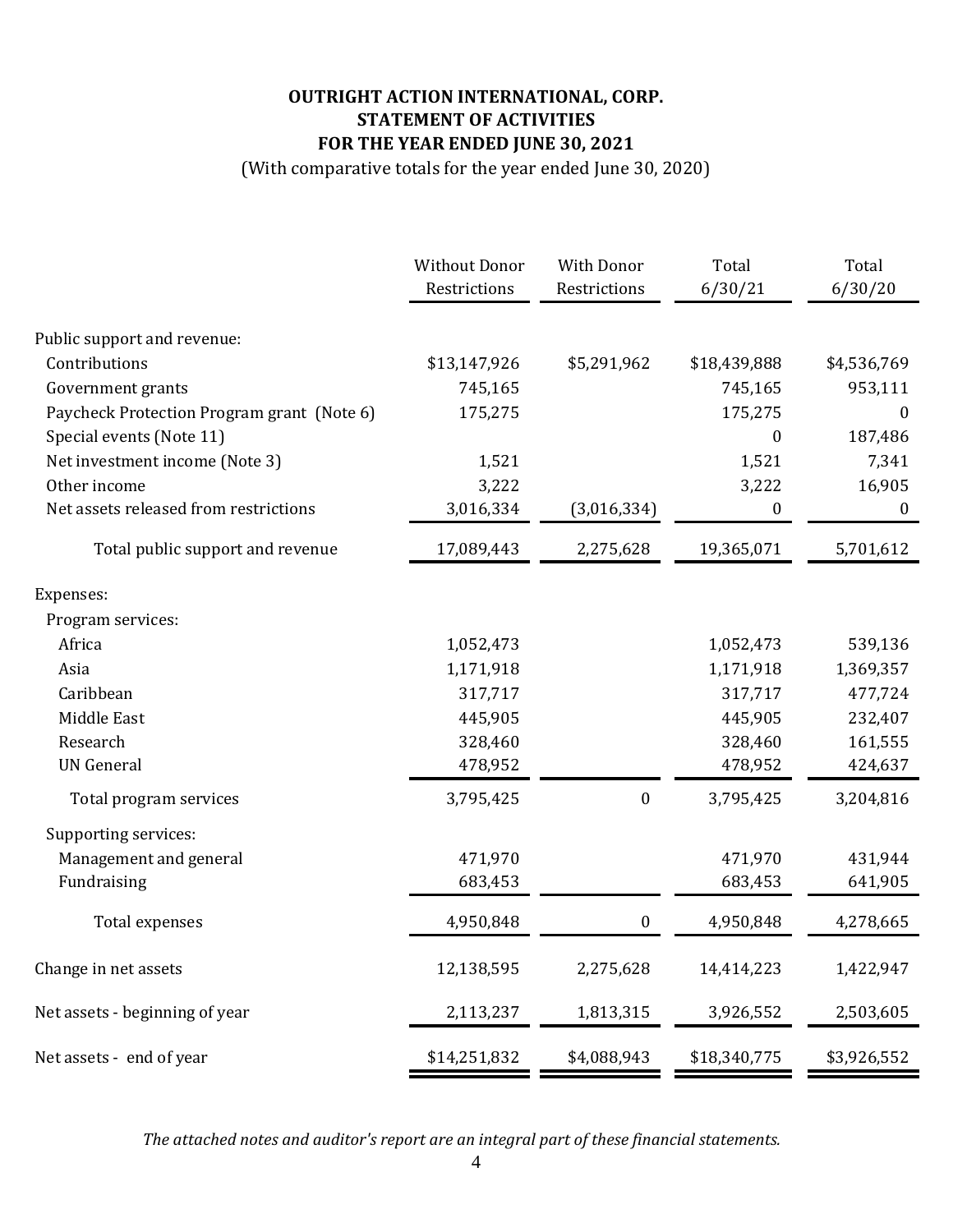# **OUTRIGHT ACTION INTERNATIONAL, CORP. STATEMENT OF ACTIVITIES FOR THE YEAR ENDED JUNE 30, 2021**

(With comparative totals for the year ended June 30, 2020)

|                                            | <b>Without Donor</b> | With Donor       | Total        | Total            |
|--------------------------------------------|----------------------|------------------|--------------|------------------|
|                                            | Restrictions         | Restrictions     | 6/30/21      | 6/30/20          |
| Public support and revenue:                |                      |                  |              |                  |
| Contributions                              | \$13,147,926         | \$5,291,962      | \$18,439,888 | \$4,536,769      |
| Government grants                          | 745,165              |                  | 745,165      | 953,111          |
| Paycheck Protection Program grant (Note 6) | 175,275              |                  | 175,275      | $\theta$         |
| Special events (Note 11)                   |                      |                  | 0            | 187,486          |
| Net investment income (Note 3)             | 1,521                |                  | 1,521        | 7,341            |
| Other income                               | 3,222                |                  | 3,222        | 16,905           |
| Net assets released from restrictions      | 3,016,334            | (3,016,334)      | 0            | $\boldsymbol{0}$ |
| Total public support and revenue           | 17,089,443           | 2,275,628        | 19,365,071   | 5,701,612        |
| Expenses:                                  |                      |                  |              |                  |
| Program services:                          |                      |                  |              |                  |
| Africa                                     | 1,052,473            |                  | 1,052,473    | 539,136          |
| Asia                                       | 1,171,918            |                  | 1,171,918    | 1,369,357        |
| Caribbean                                  | 317,717              |                  | 317,717      | 477,724          |
| Middle East                                | 445,905              |                  | 445,905      | 232,407          |
| Research                                   | 328,460              |                  | 328,460      | 161,555          |
| <b>UN</b> General                          | 478,952              |                  | 478,952      | 424,637          |
| Total program services                     | 3,795,425            | $\boldsymbol{0}$ | 3,795,425    | 3,204,816        |
| Supporting services:                       |                      |                  |              |                  |
| Management and general                     | 471,970              |                  | 471,970      | 431,944          |
| Fundraising                                | 683,453              |                  | 683,453      | 641,905          |
| Total expenses                             | 4,950,848            | $\pmb{0}$        | 4,950,848    | 4,278,665        |
| Change in net assets                       | 12,138,595           | 2,275,628        | 14,414,223   | 1,422,947        |
| Net assets - beginning of year             | 2,113,237            | 1,813,315        | 3,926,552    | 2,503,605        |
| Net assets - end of year                   | \$14,251,832         | \$4,088,943      | \$18,340,775 | \$3,926,552      |

*The attached notes and auditor's report are an integral part of these financial statements.*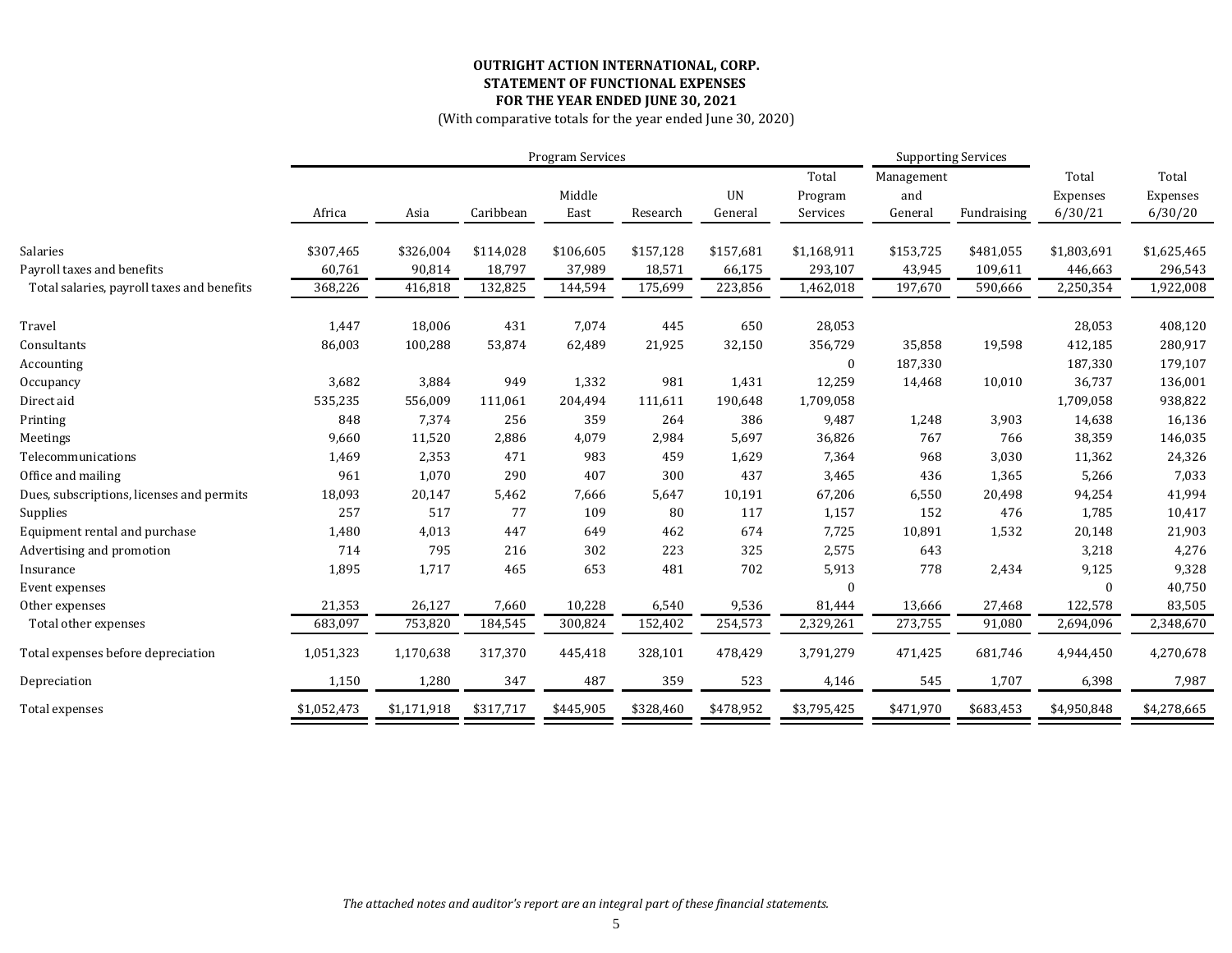# **OUTRIGHT ACTION INTERNATIONAL, CORP. STATEMENT OF FUNCTIONAL EXPENSES FOR THE YEAR ENDED JUNE 30, 2021**

(With comparative totals for the year ended June 30, 2020)

|                                            |             | <b>Program Services</b> |           |                | <b>Supporting Services</b> |                      |                              |                              |             |                              |                              |
|--------------------------------------------|-------------|-------------------------|-----------|----------------|----------------------------|----------------------|------------------------------|------------------------------|-------------|------------------------------|------------------------------|
|                                            | Africa      | Asia                    | Caribbean | Middle<br>East | Research                   | <b>UN</b><br>General | Total<br>Program<br>Services | Management<br>and<br>General | Fundraising | Total<br>Expenses<br>6/30/21 | Total<br>Expenses<br>6/30/20 |
| Salaries                                   | \$307,465   | \$326,004               | \$114,028 | \$106,605      | \$157,128                  | \$157,681            | \$1,168,911                  | \$153,725                    | \$481,055   | \$1,803,691                  | \$1,625,465                  |
| Payroll taxes and benefits                 | 60,761      | 90,814                  | 18,797    | 37,989         | 18,571                     | 66,175               | 293,107                      | 43,945                       | 109,611     | 446,663                      | 296,543                      |
| Total salaries, payroll taxes and benefits | 368,226     | 416,818                 | 132,825   | 144,594        | 175,699                    | 223,856              | 1,462,018                    | 197,670                      | 590,666     | 2,250,354                    | 1,922,008                    |
| Travel                                     | 1,447       | 18,006                  | 431       | 7,074          | 445                        | 650                  | 28,053                       |                              |             | 28,053                       | 408,120                      |
| Consultants                                | 86,003      | 100,288                 | 53,874    | 62,489         | 21,925                     | 32,150               | 356,729                      | 35,858                       | 19,598      | 412,185                      | 280,917                      |
| Accounting                                 |             |                         |           |                |                            |                      | $\bf{0}$                     | 187,330                      |             | 187,330                      | 179,107                      |
| Occupancy                                  | 3,682       | 3,884                   | 949       | 1,332          | 981                        | 1,431                | 12,259                       | 14,468                       | 10,010      | 36,737                       | 136,001                      |
| Direct aid                                 | 535,235     | 556,009                 | 111,061   | 204,494        | 111,611                    | 190,648              | 1,709,058                    |                              |             | 1,709,058                    | 938,822                      |
| Printing                                   | 848         | 7,374                   | 256       | 359            | 264                        | 386                  | 9,487                        | 1,248                        | 3,903       | 14,638                       | 16,136                       |
| Meetings                                   | 9,660       | 11,520                  | 2,886     | 4,079          | 2,984                      | 5,697                | 36,826                       | 767                          | 766         | 38,359                       | 146,035                      |
| Telecommunications                         | 1,469       | 2,353                   | 471       | 983            | 459                        | 1,629                | 7,364                        | 968                          | 3,030       | 11,362                       | 24,326                       |
| Office and mailing                         | 961         | 1,070                   | 290       | 407            | 300                        | 437                  | 3,465                        | 436                          | 1,365       | 5,266                        | 7,033                        |
| Dues, subscriptions, licenses and permits  | 18,093      | 20,147                  | 5,462     | 7,666          | 5,647                      | 10,191               | 67,206                       | 6,550                        | 20,498      | 94,254                       | 41,994                       |
| Supplies                                   | 257         | 517                     | 77        | 109            | 80                         | 117                  | 1,157                        | 152                          | 476         | 1,785                        | 10,417                       |
| Equipment rental and purchase              | 1,480       | 4,013                   | 447       | 649            | 462                        | 674                  | 7,725                        | 10,891                       | 1,532       | 20,148                       | 21,903                       |
| Advertising and promotion                  | 714         | 795                     | 216       | 302            | 223                        | 325                  | 2,575                        | 643                          |             | 3,218                        | 4,276                        |
| Insurance                                  | 1,895       | 1,717                   | 465       | 653            | 481                        | 702                  | 5,913                        | 778                          | 2,434       | 9,125                        | 9,328                        |
| Event expenses                             |             |                         |           |                |                            |                      | $\overline{0}$               |                              |             |                              | 40,750                       |
| Other expenses                             | 21,353      | 26,127                  | 7,660     | 10,228         | 6,540                      | 9,536                | 81,444                       | 13,666                       | 27,468      | 122,578                      | 83,505                       |
| Total other expenses                       | 683,097     | 753,820                 | 184,545   | 300,824        | 152,402                    | 254,573              | 2,329,261                    | 273,755                      | 91,080      | 2,694,096                    | 2,348,670                    |
| Total expenses before depreciation         | 1,051,323   | 1,170,638               | 317,370   | 445,418        | 328,101                    | 478,429              | 3,791,279                    | 471,425                      | 681,746     | 4,944,450                    | 4,270,678                    |
| Depreciation                               | 1,150       | 1,280                   | 347       | 487            | 359                        | 523                  | 4,146                        | 545                          | 1,707       | 6,398                        | 7,987                        |
| Total expenses                             | \$1,052,473 | \$1,171,918             | \$317,717 | \$445,905      | \$328,460                  | \$478,952            | \$3,795,425                  | \$471,970                    | \$683,453   | \$4,950,848                  | \$4,278,665                  |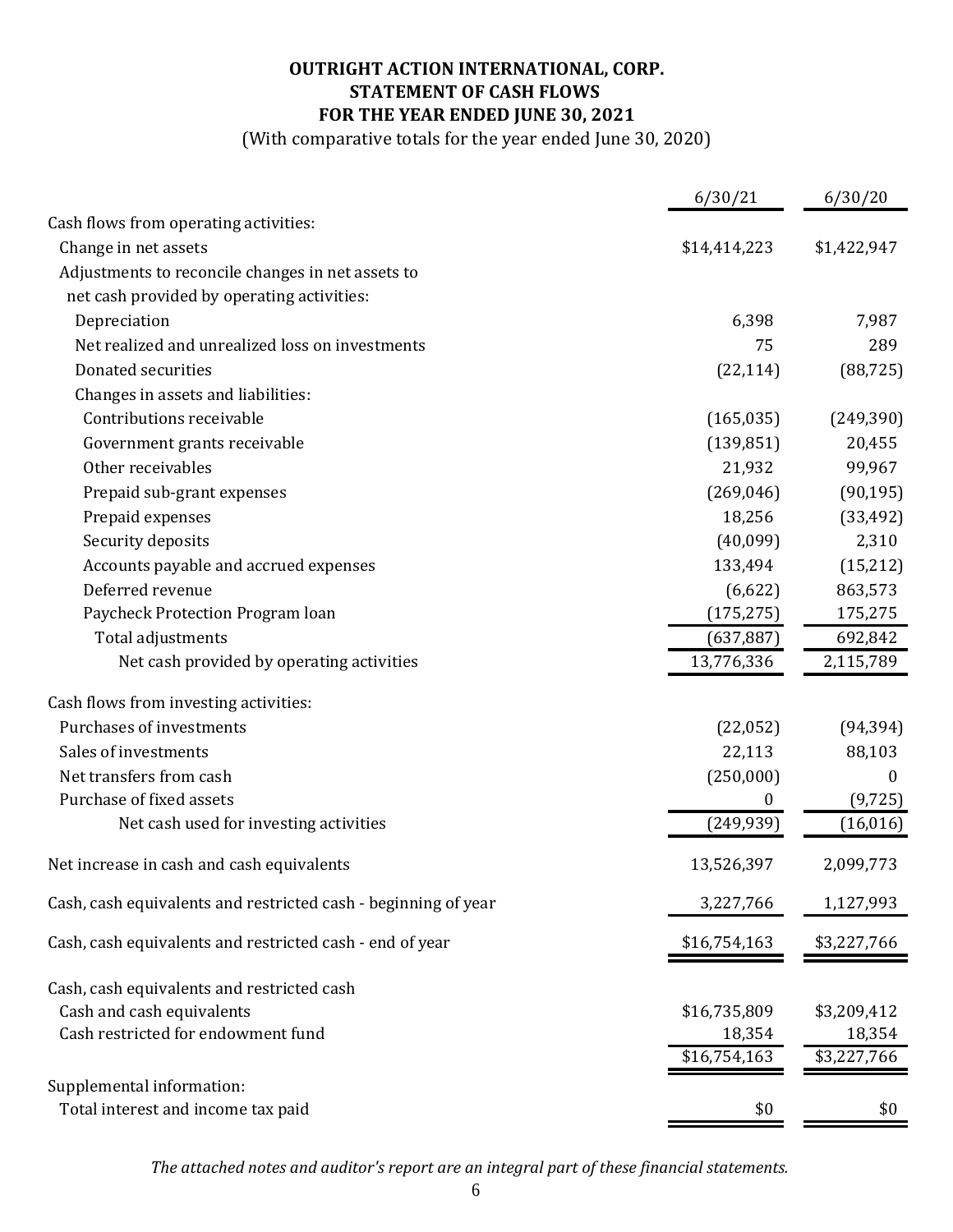# **OUTRIGHT ACTION INTERNATIONAL, CORP. STATEMENT OF CASH FLOWS FOR THE YEAR ENDED JUNE 30, 2021**

(With comparative totals for the year ended June 30, 2020)

|                                                                | 6/30/21          | 6/30/20     |
|----------------------------------------------------------------|------------------|-------------|
| Cash flows from operating activities:                          |                  |             |
| Change in net assets                                           | \$14,414,223     | \$1,422,947 |
| Adjustments to reconcile changes in net assets to              |                  |             |
| net cash provided by operating activities:                     |                  |             |
| Depreciation                                                   | 6,398            | 7,987       |
| Net realized and unrealized loss on investments                | 75               | 289         |
| Donated securities                                             | (22, 114)        | (88, 725)   |
| Changes in assets and liabilities:                             |                  |             |
| Contributions receivable                                       | (165, 035)       | (249, 390)  |
| Government grants receivable                                   | (139, 851)       | 20,455      |
| Other receivables                                              | 21,932           | 99,967      |
| Prepaid sub-grant expenses                                     | (269, 046)       | (90, 195)   |
| Prepaid expenses                                               | 18,256           | (33, 492)   |
| Security deposits                                              | (40,099)         | 2,310       |
| Accounts payable and accrued expenses                          | 133,494          | (15,212)    |
| Deferred revenue                                               | (6,622)          | 863,573     |
| Paycheck Protection Program loan                               | (175, 275)       | 175,275     |
| Total adjustments                                              | (637, 887)       | 692,842     |
| Net cash provided by operating activities                      | 13,776,336       | 2,115,789   |
| Cash flows from investing activities:                          |                  |             |
| Purchases of investments                                       | (22,052)         | (94, 394)   |
| Sales of investments                                           | 22,113           | 88,103      |
| Net transfers from cash                                        | (250,000)        | $\bf{0}$    |
| Purchase of fixed assets                                       | $\boldsymbol{0}$ | (9, 725)    |
| Net cash used for investing activities                         | (249, 939)       | (16, 016)   |
| Net increase in cash and cash equivalents                      | 13,526,397       | 2,099,773   |
| Cash, cash equivalents and restricted cash - beginning of year | 3,227,766        | 1,127,993   |
| Cash, cash equivalents and restricted cash - end of year       | \$16,754,163     | \$3,227,766 |
| Cash, cash equivalents and restricted cash                     |                  |             |
| Cash and cash equivalents                                      | \$16,735,809     | \$3,209,412 |
| Cash restricted for endowment fund                             | 18,354           | 18,354      |
|                                                                | \$16,754,163     | \$3,227,766 |
| Supplemental information:                                      |                  |             |
| Total interest and income tax paid                             | \$0              | \$0         |

*The attached notes and auditor's report are an integral part of these financial statements.*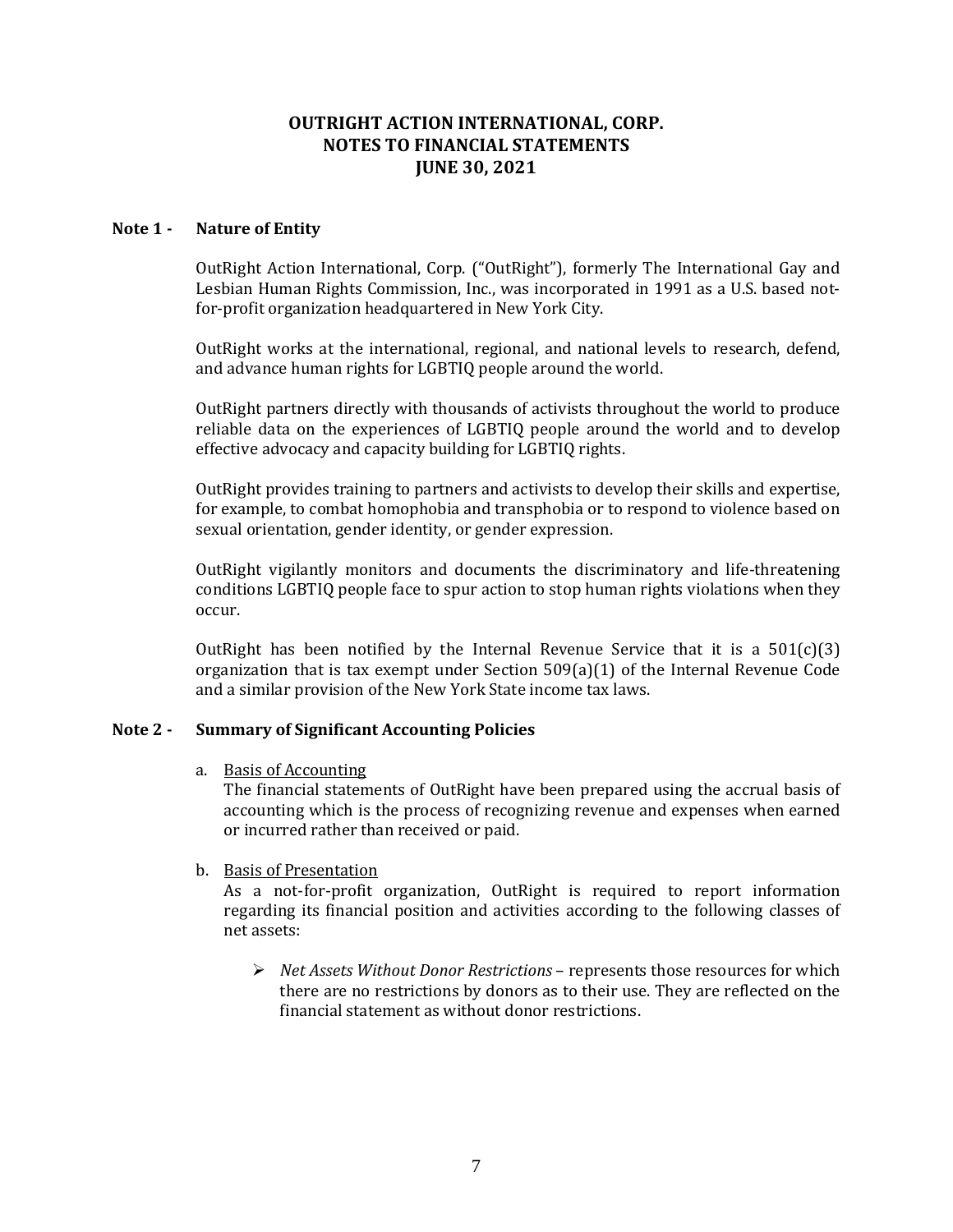# **OUTRIGHT ACTION INTERNATIONAL, CORP. NOTES TO FINANCIAL STATEMENTS JUNE 30, 2021**

# **Note 1 - Nature of Entity**

OutRight Action International, Corp. ("OutRight"), formerly The International Gay and Lesbian Human Rights Commission, Inc., was incorporated in 1991 as a U.S. based notfor-profit organization headquartered in New York City.

OutRight works at the international, regional, and national levels to research, defend, and advance human rights for LGBTIQ people around the world.

OutRight partners directly with thousands of activists throughout the world to produce reliable data on the experiences of LGBTIQ people around the world and to develop effective advocacy and capacity building for LGBTIQ rights.

OutRight provides training to partners and activists to develop their skills and expertise, for example, to combat homophobia and transphobia or to respond to violence based on sexual orientation, gender identity, or gender expression.

OutRight vigilantly monitors and documents the discriminatory and life-threatening conditions LGBTIQ people face to spur action to stop human rights violations when they occur.

OutRight has been notified by the Internal Revenue Service that it is a  $501(c)(3)$ organization that is tax exempt under Section 509(a)(1) of the Internal Revenue Code and a similar provision of the New York State income tax laws.

# **Note 2 - Summary of Significant Accounting Policies**

a. Basis of Accounting

The financial statements of OutRight have been prepared using the accrual basis of accounting which is the process of recognizing revenue and expenses when earned or incurred rather than received or paid.

# b. Basis of Presentation

As a not-for-profit organization, OutRight is required to report information regarding its financial position and activities according to the following classes of net assets:

➢ *Net Assets Without Donor Restrictions* – represents those resources for which there are no restrictions by donors as to their use. They are reflected on the financial statement as without donor restrictions.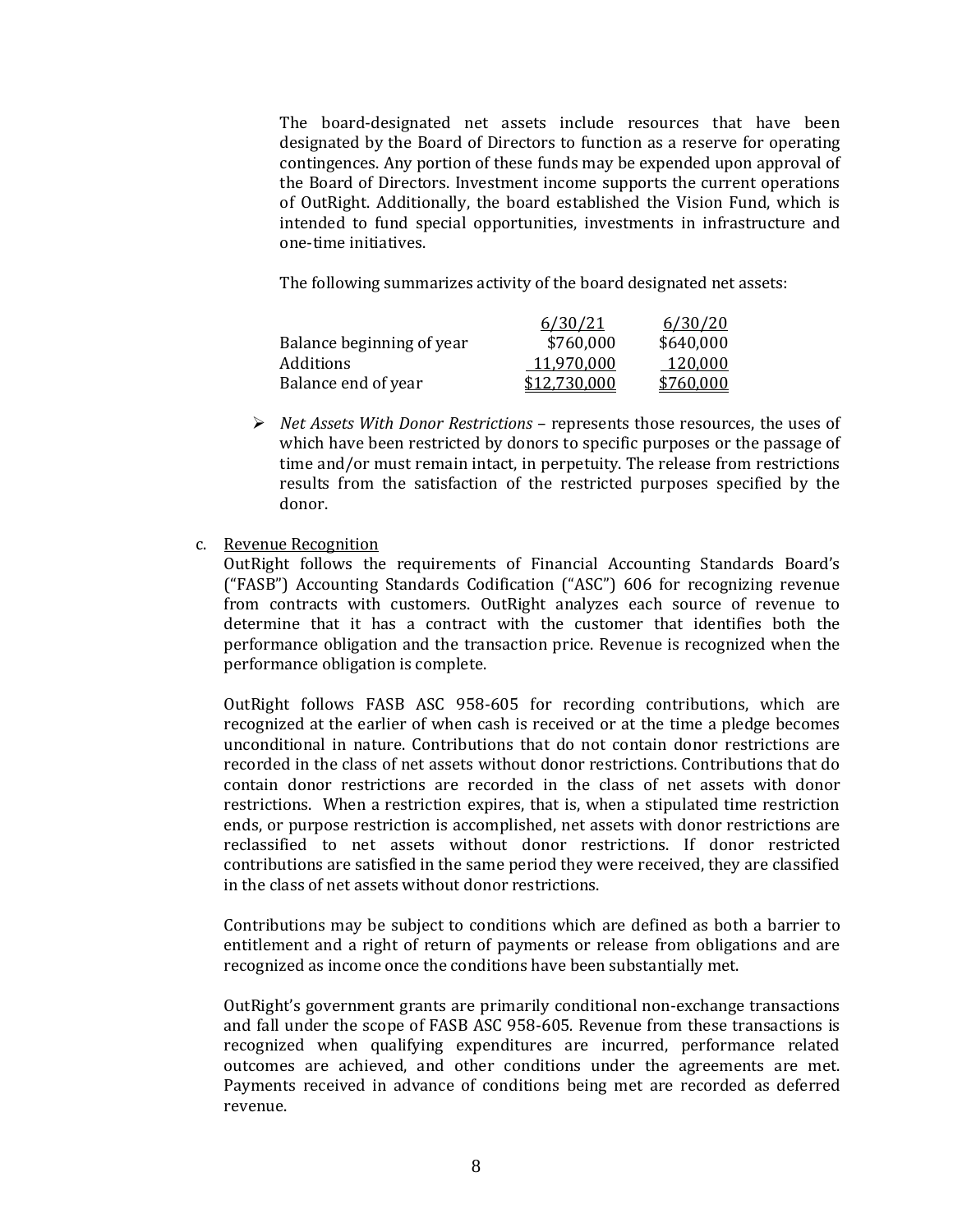The board-designated net assets include resources that have been designated by the Board of Directors to function as a reserve for operating contingences. Any portion of these funds may be expended upon approval of the Board of Directors. Investment income supports the current operations of OutRight. Additionally, the board established the Vision Fund, which is intended to fund special opportunities, investments in infrastructure and one-time initiatives.

The following summarizes activity of the board designated net assets:

|                           | 6/30/21      | 6/30/20   |
|---------------------------|--------------|-----------|
| Balance beginning of year | \$760,000    | \$640,000 |
| Additions                 | 11.970.000   | 120.000   |
| Balance end of year       | \$12,730,000 | \$760,000 |

➢ *Net Assets With Donor Restrictions* – represents those resources, the uses of which have been restricted by donors to specific purposes or the passage of time and/or must remain intact, in perpetuity. The release from restrictions results from the satisfaction of the restricted purposes specified by the donor.

# c. Revenue Recognition

OutRight follows the requirements of Financial Accounting Standards Board's ("FASB") Accounting Standards Codification ("ASC") 606 for recognizing revenue from contracts with customers. OutRight analyzes each source of revenue to determine that it has a contract with the customer that identifies both the performance obligation and the transaction price. Revenue is recognized when the performance obligation is complete.

OutRight follows FASB ASC 958-605 for recording contributions, which are recognized at the earlier of when cash is received or at the time a pledge becomes unconditional in nature. Contributions that do not contain donor restrictions are recorded in the class of net assets without donor restrictions. Contributions that do contain donor restrictions are recorded in the class of net assets with donor restrictions. When a restriction expires, that is, when a stipulated time restriction ends, or purpose restriction is accomplished, net assets with donor restrictions are reclassified to net assets without donor restrictions. If donor restricted contributions are satisfied in the same period they were received, they are classified in the class of net assets without donor restrictions.

Contributions may be subject to conditions which are defined as both a barrier to entitlement and a right of return of payments or release from obligations and are recognized as income once the conditions have been substantially met.

OutRight's government grants are primarily conditional non-exchange transactions and fall under the scope of FASB ASC 958-605*.* Revenue from these transactions is recognized when qualifying expenditures are incurred, performance related outcomes are achieved, and other conditions under the agreements are met. Payments received in advance of conditions being met are recorded as deferred revenue.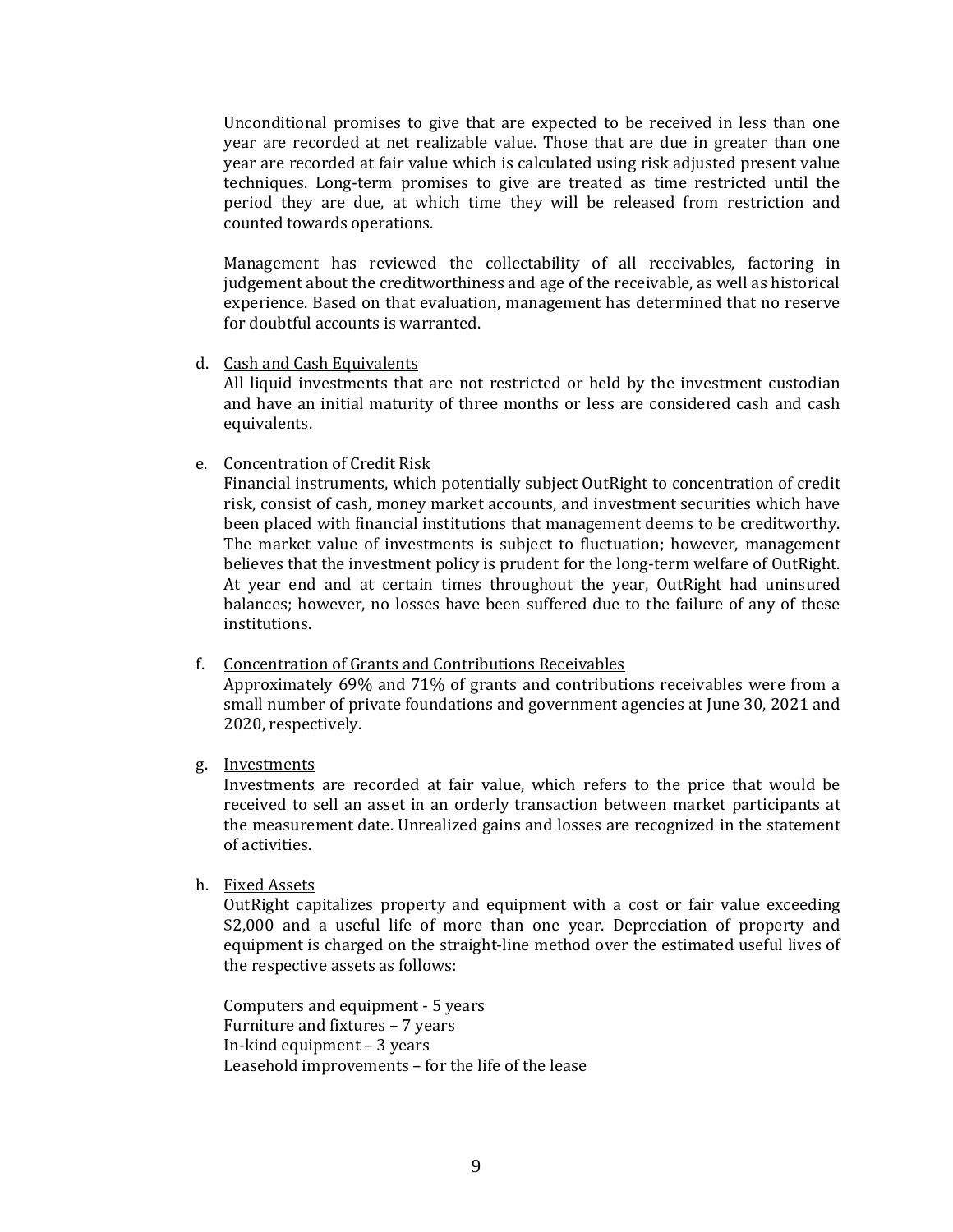Unconditional promises to give that are expected to be received in less than one year are recorded at net realizable value. Those that are due in greater than one year are recorded at fair value which is calculated using risk adjusted present value techniques. Long-term promises to give are treated as time restricted until the period they are due, at which time they will be released from restriction and counted towards operations.

Management has reviewed the collectability of all receivables, factoring in judgement about the creditworthiness and age of the receivable, as well as historical experience. Based on that evaluation, management has determined that no reserve for doubtful accounts is warranted.

d. Cash and Cash Equivalents

All liquid investments that are not restricted or held by the investment custodian and have an initial maturity of three months or less are considered cash and cash equivalents.

e. Concentration of Credit Risk

Financial instruments, which potentially subject OutRight to concentration of credit risk, consist of cash, money market accounts, and investment securities which have been placed with financial institutions that management deems to be creditworthy. The market value of investments is subject to fluctuation; however, management believes that the investment policy is prudent for the long-term welfare of OutRight. At year end and at certain times throughout the year, OutRight had uninsured balances; however, no losses have been suffered due to the failure of any of these institutions.

f. Concentration of Grants and Contributions Receivables

Approximately 69% and 71% of grants and contributions receivables were from a small number of private foundations and government agencies at June 30, 2021 and 2020, respectively.

g. Investments

Investments are recorded at fair value, which refers to the price that would be received to sell an asset in an orderly transaction between market participants at the measurement date. Unrealized gains and losses are recognized in the statement of activities.

h. Fixed Assets

OutRight capitalizes property and equipment with a cost or fair value exceeding \$2,000 and a useful life of more than one year. Depreciation of property and equipment is charged on the straight-line method over the estimated useful lives of the respective assets as follows:

Computers and equipment - 5 years Furniture and fixtures – 7 years In-kind equipment – 3 years Leasehold improvements – for the life of the lease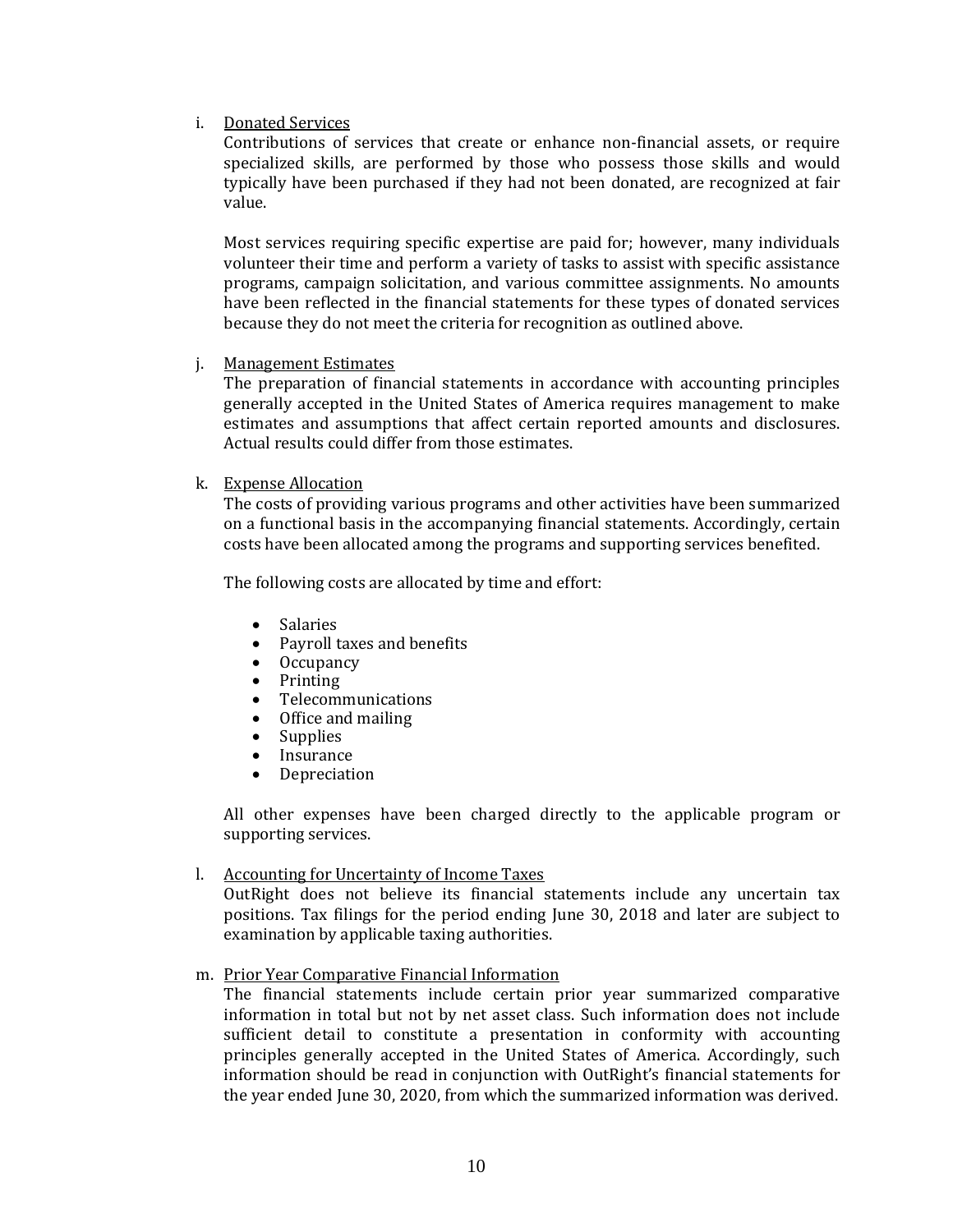# i. Donated Services

Contributions of services that create or enhance non-financial assets, or require specialized skills, are performed by those who possess those skills and would typically have been purchased if they had not been donated, are recognized at fair value.

Most services requiring specific expertise are paid for; however, many individuals volunteer their time and perform a variety of tasks to assist with specific assistance programs, campaign solicitation, and various committee assignments. No amounts have been reflected in the financial statements for these types of donated services because they do not meet the criteria for recognition as outlined above.

j. Management Estimates

The preparation of financial statements in accordance with accounting principles generally accepted in the United States of America requires management to make estimates and assumptions that affect certain reported amounts and disclosures. Actual results could differ from those estimates.

# k. Expense Allocation

The costs of providing various programs and other activities have been summarized on a functional basis in the accompanying financial statements. Accordingly, certain costs have been allocated among the programs and supporting services benefited.

The following costs are allocated by time and effort:

- **Salaries**
- Payroll taxes and benefits
- Occupancy
- Printing
- Telecommunications
- Office and mailing
- Supplies
- **Insurance**
- **Depreciation**

All other expenses have been charged directly to the applicable program or supporting services.

# l. Accounting for Uncertainty of Income Taxes

OutRight does not believe its financial statements include any uncertain tax positions. Tax filings for the period ending June 30, 2018 and later are subject to examination by applicable taxing authorities.

# m. Prior Year Comparative Financial Information

The financial statements include certain prior year summarized comparative information in total but not by net asset class. Such information does not include sufficient detail to constitute a presentation in conformity with accounting principles generally accepted in the United States of America. Accordingly, such information should be read in conjunction with OutRight's financial statements for the year ended June 30, 2020, from which the summarized information was derived.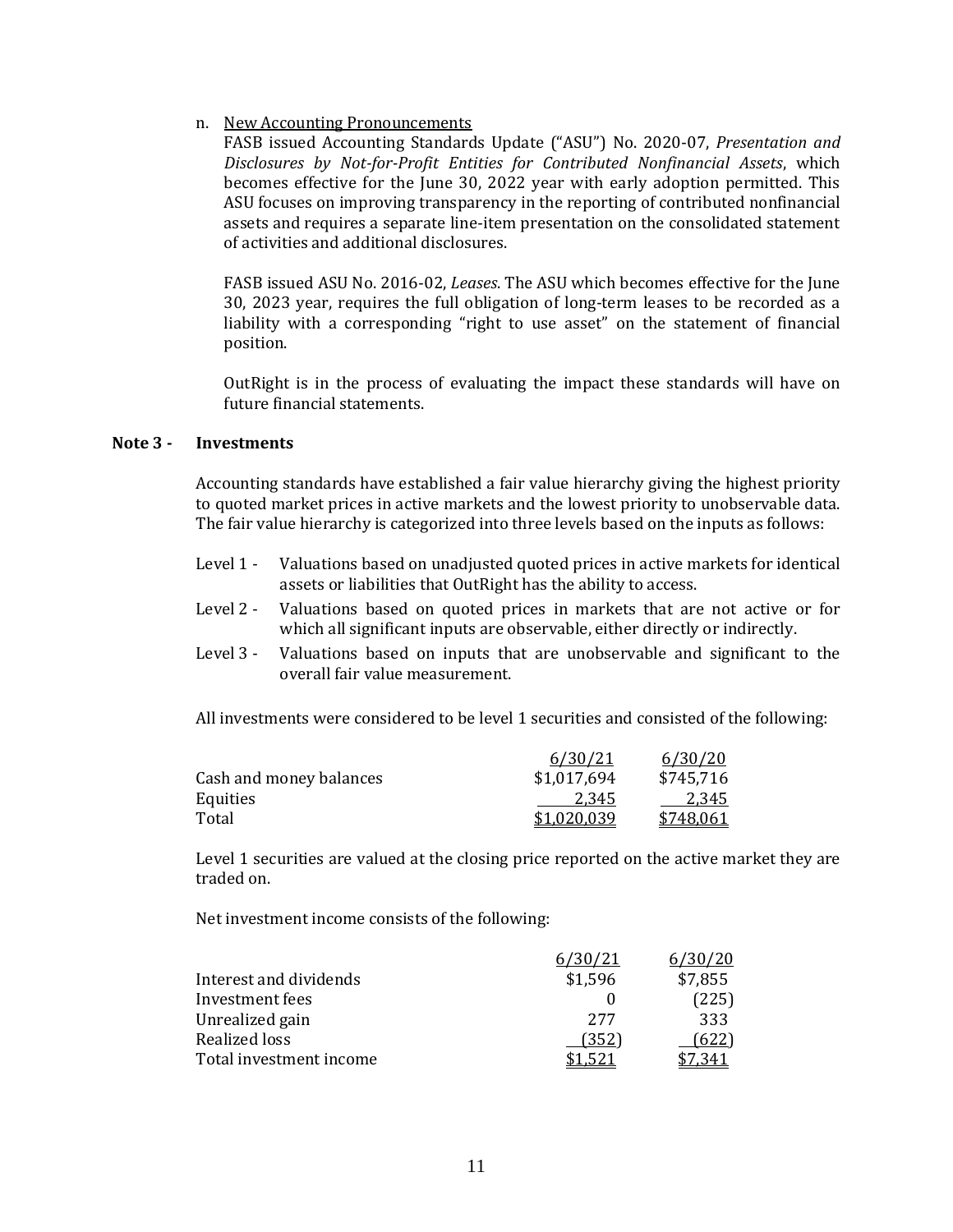# n. New Accounting Pronouncements

FASB issued Accounting Standards Update ("ASU") No. 2020-07, *Presentation and Disclosures by Not-for-Profit Entities for Contributed Nonfinancial Assets*, which becomes effective for the June 30, 2022 year with early adoption permitted. This ASU focuses on improving transparency in the reporting of contributed nonfinancial assets and requires a separate line-item presentation on the consolidated statement of activities and additional disclosures.

FASB issued ASU No. 2016-02, *Leases*. The ASU which becomes effective for the June 30, 2023 year, requires the full obligation of long-term leases to be recorded as a liability with a corresponding "right to use asset" on the statement of financial position.

OutRight is in the process of evaluating the impact these standards will have on future financial statements.

## **Note 3 - Investments**

Accounting standards have established a fair value hierarchy giving the highest priority to quoted market prices in active markets and the lowest priority to unobservable data. The fair value hierarchy is categorized into three levels based on the inputs as follows:

- Level 1 Valuations based on unadjusted quoted prices in active markets for identical assets or liabilities that OutRight has the ability to access.
- Level 2 Valuations based on quoted prices in markets that are not active or for which all significant inputs are observable, either directly or indirectly.
- Level 3 Valuations based on inputs that are unobservable and significant to the overall fair value measurement.

All investments were considered to be level 1 securities and consisted of the following:

|                         | 6/30/21     | 6/30/20   |
|-------------------------|-------------|-----------|
| Cash and money balances | \$1,017,694 | \$745,716 |
| Equities                | 2.345       | 2.345     |
| Total                   | \$1,020,039 | \$748,061 |

Level 1 securities are valued at the closing price reported on the active market they are traded on.

Net investment income consists of the following:

|                         | 30/21   | 6/30/20 |
|-------------------------|---------|---------|
| Interest and dividends  | \$1,596 | \$7,855 |
| Investment fees         |         | (225)   |
| Unrealized gain         | 277     | 333     |
| Realized loss           | (352)   | (622)   |
| Total investment income |         |         |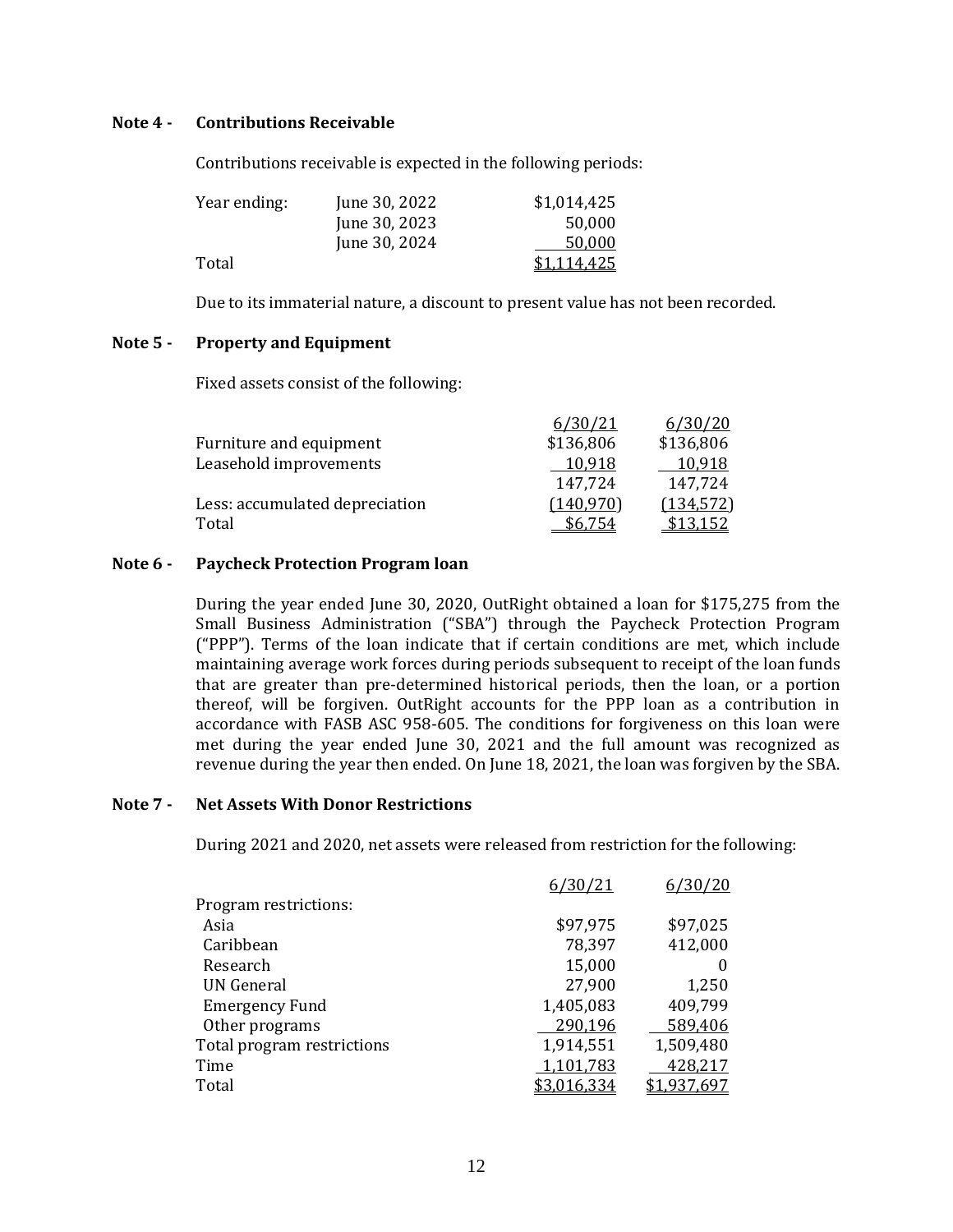## **Note 4 - Contributions Receivable**

Contributions receivable is expected in the following periods:

| Year ending: | June 30, 2022 | \$1,014,425 |
|--------------|---------------|-------------|
|              | June 30, 2023 | 50,000      |
|              | June 30, 2024 | 50.000      |
| Total        |               | \$1.114.425 |

Due to its immaterial nature, a discount to present value has not been recorded.

# **Note 5 - Property and Equipment**

Fixed assets consist of the following:

|                                | 6/30/21   | 6/30/20    |
|--------------------------------|-----------|------------|
| Furniture and equipment        | \$136,806 | \$136,806  |
| Leasehold improvements         | 10.918    | 10,918     |
|                                | 147,724   | 147,724    |
| Less: accumulated depreciation | (140.970) | (134, 572) |
| Total                          | \$6.754   | \$13.152   |

#### **Note 6 - Paycheck Protection Program loan**

During the year ended June 30, 2020, OutRight obtained a loan for \$175,275 from the Small Business Administration ("SBA") through the Paycheck Protection Program ("PPP"). Terms of the loan indicate that if certain conditions are met, which include maintaining average work forces during periods subsequent to receipt of the loan funds that are greater than pre-determined historical periods, then the loan, or a portion thereof, will be forgiven. OutRight accounts for the PPP loan as a contribution in accordance with FASB ASC 958-605. The conditions for forgiveness on this loan were met during the year ended June 30, 2021 and the full amount was recognized as revenue during the year then ended. On June 18, 2021, the loan was forgiven by the SBA.

# **Note 7 - Net Assets With Donor Restrictions**

During 2021 and 2020, net assets were released from restriction for the following:

| 6/30/21     | 6/30/20     |
|-------------|-------------|
|             |             |
| \$97,975    | \$97,025    |
| 78,397      | 412,000     |
| 15,000      |             |
| 27,900      | 1,250       |
| 1,405,083   | 409,799     |
| 290,196     | 589,406     |
| 1,914,551   | 1,509,480   |
| 1,101,783   | 428,217     |
| \$3,016,334 | \$1,937,697 |
|             |             |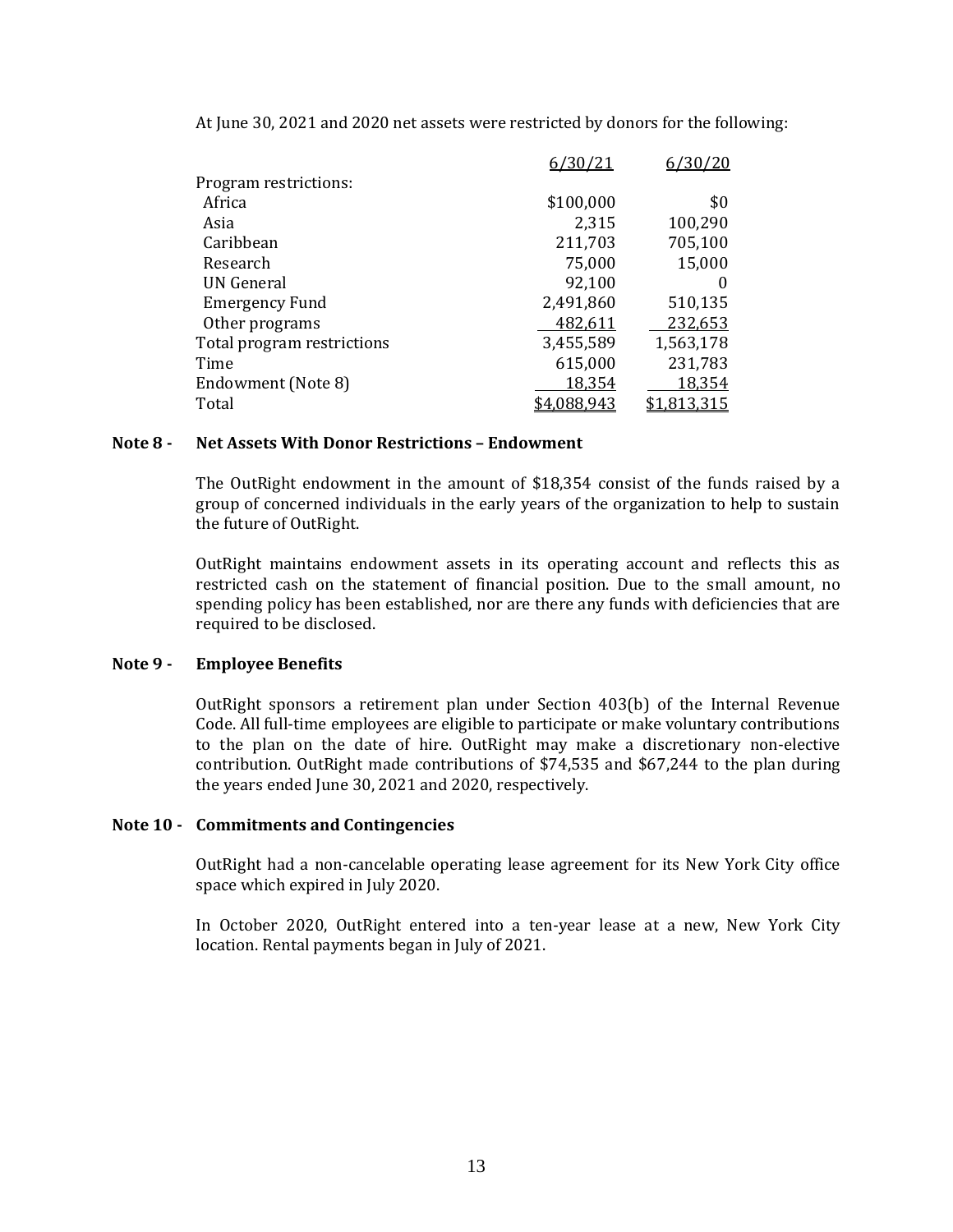| Program restrictions:      |           |                  |
|----------------------------|-----------|------------------|
| Africa                     | \$100,000 | \$0              |
| Asia                       | 2,315     | 100,290          |
| Caribbean                  | 211,703   | 705,100          |
| Research                   | 75,000    | 15,000           |
| UN General                 | 92,100    | 0                |
| <b>Emergency Fund</b>      | 2,491,860 | 510,135          |
| Other programs             | 482,611   | 232,653          |
| Total program restrictions | 3,455,589 | 1,563,178        |
| Time                       | 615,000   | 231,783          |
| Endowment (Note 8)         | 18,354    | 18,354           |
| Total                      | 4.088,943 | <u>1,813,315</u> |

At June 30, 2021 and 2020 net assets were restricted by donors for the following:

## **Note 8 - Net Assets With Donor Restrictions – Endowment**

The OutRight endowment in the amount of \$18,354 consist of the funds raised by a group of concerned individuals in the early years of the organization to help to sustain the future of OutRight.

OutRight maintains endowment assets in its operating account and reflects this as restricted cash on the statement of financial position. Due to the small amount, no spending policy has been established, nor are there any funds with deficiencies that are required to be disclosed.

# **Note 9 - Employee Benefits**

OutRight sponsors a retirement plan under Section 403(b) of the Internal Revenue Code. All full-time employees are eligible to participate or make voluntary contributions to the plan on the date of hire. OutRight may make a discretionary non-elective contribution. OutRight made contributions of \$74,535 and \$67,244 to the plan during the years ended June 30, 2021 and 2020, respectively.

#### **Note 10 - Commitments and Contingencies**

OutRight had a non-cancelable operating lease agreement for its New York City office space which expired in July 2020.

In October 2020, OutRight entered into a ten-year lease at a new, New York City location. Rental payments began in July of 2021.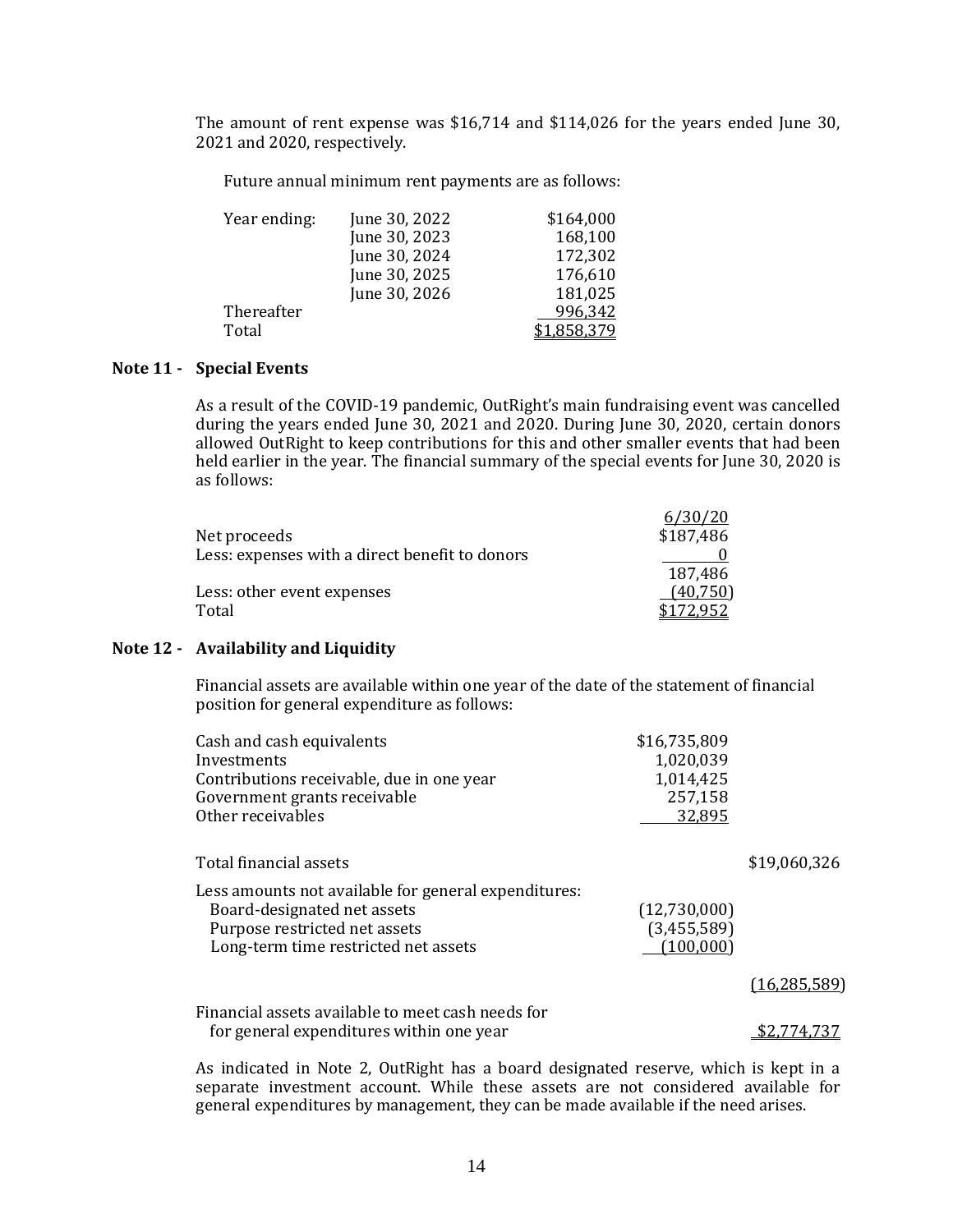The amount of rent expense was \$16,714 and \$114,026 for the years ended June 30, 2021 and 2020, respectively.

Future annual minimum rent payments are as follows:

| Year ending: | June 30, 2022 | \$164,000        |
|--------------|---------------|------------------|
|              | June 30, 2023 | 168,100          |
|              | June 30, 2024 | 172,302          |
|              | June 30, 2025 | 176,610          |
|              | June 30, 2026 | 181,025          |
| Thereafter   |               | 996,342          |
| Total        |               | <u>1,858,379</u> |

# **Note 11 - Special Events**

As a result of the COVID-19 pandemic, OutRight's main fundraising event was cancelled during the years ended June 30, 2021 and 2020. During June 30, 2020, certain donors allowed OutRight to keep contributions for this and other smaller events that had been held earlier in the year. The financial summary of the special events for June 30, 2020 is as follows:

| Net proceeds                                   | 6/30/20<br>\$187,486 |
|------------------------------------------------|----------------------|
| Less: expenses with a direct benefit to donors |                      |
|                                                | 187,486              |
| Less: other event expenses                     | (40,750)             |
| Total                                          |                      |

# **Note 12 - Availability and Liquidity**

Financial assets are available within one year of the date of the statement of financial position for general expenditure as follows:

| Cash and cash equivalents<br>Investments<br>Contributions receivable, due in one year<br>Government grants receivable<br>Other receivables                   | \$16,735,809<br>1,020,039<br>1,014,425<br>257,158<br>32,895 |                |
|--------------------------------------------------------------------------------------------------------------------------------------------------------------|-------------------------------------------------------------|----------------|
| Total financial assets                                                                                                                                       |                                                             | \$19,060,326   |
| Less amounts not available for general expenditures:<br>Board-designated net assets<br>Purpose restricted net assets<br>Long-term time restricted net assets | (12,730,000)<br>(3,455,589)<br>(100, 000)                   |                |
|                                                                                                                                                              |                                                             | (16, 285, 589) |
| Financial assets available to meet cash needs for<br>for general expenditures within one year                                                                |                                                             |                |

As indicated in Note 2, OutRight has a board designated reserve, which is kept in a separate investment account. While these assets are not considered available for general expenditures by management, they can be made available if the need arises.